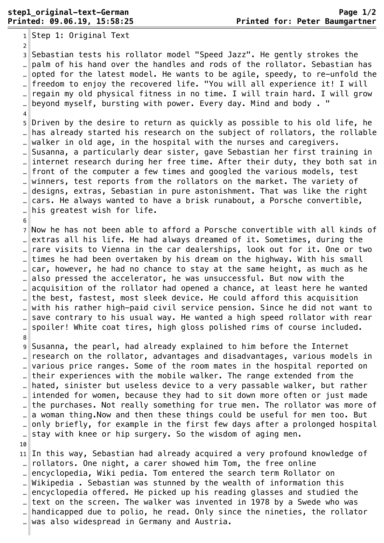$1$ Step 1: Original Text 2 ¬ 3 Sebastian tests his rollator model "Speed Jazz". He gently strokes the .. $\parallel$ palm of his hand over the handles and rods of the rollator. Sebastian has opted for the latest model. He wants to be agile, speedy, to re-unfold the freedom to enjoy the recovered life. "You will all experience it! I will regain my old physical fitness in no time. I will train hard. I will grow .. $\parallel$  beyond myself, bursting with power. Every day. Mind and body . "  $\overline{4}$ 5 Driven by the desire to return as quickly as possible to his old life, he … has already started his research on the subject of rollators, the rollable walker in old age, in the hospital with the nurses and caregivers. Susanna, a particularly dear sister, gave Sebastian her first training in … internet research during her free time. After their duty, they both sat in front of the computer a few times and googled the various models, test winners, test reports from the rollators on the market. The variety of … designs, extras, Sebastian in pure astonishment. That was like the right … cars. He always wanted to have a brisk runabout, a Porsche convertible,  $\mathbb{L}$  his greatest wish for life. 6 ¬ 7 Now he has not been able to afford a Porsche convertible with all kinds of extras all his life. He had always dreamed of it. Sometimes, during the …  $\|$  rare visits to Vienna in the car dealerships, look out for it. One or two times he had been overtaken by his dream on the highway. With his small car, however, he had no chance to stay at the same height, as much as he also pressed the accelerator, he was unsuccessful. But now with the . acquisition of the rollator had opened a chance, at least here he wanted … the best, fastest, most sleek device. He could afford this acquisition with his rather high-paid civil service pension. Since he did not want to .. save contrary to his usual way. He wanted a high speed rollator with rear spoiler! White coat tires, high gloss polished rims of course included. 8 ¬ 9 Susanna, the pearl, had already explained to him before the Internet … research on the rollator, advantages and disadvantages, various models in various price ranges. Some of the room mates in the hospital reported on their experiences with the mobile walker. The range extended from the ... hated, sinister but useless device to a very passable walker, but rather intended for women, because they had to sit down more often or just made the purchases. Not really something for true men. The rollator was more of .  $\parallel$  a woman thing. Now and then these things could be useful for men too. But only briefly, for example in the first few days after a prolonged hospital … stay with knee or hip surgery. So the wisdom of aging men. 10 ¬ 11 In this way, Sebastian had already acquired a very profound knowledge of rollators. One night, a carer showed him Tom, the free online .. encyclopedia, Wiki pedia. Tom entered the search term Rollator on Wikipedia . Sebastian was stunned by the wealth of information this encyclopedia offered. He picked up his reading glasses and studied the … $\|$ text on the screen. The walker was invented in 1978 by a Swede who was handicapped due to polio, he read. Only since the nineties, the rollator  $\lVert$  was also widespread in Germany and Austria.